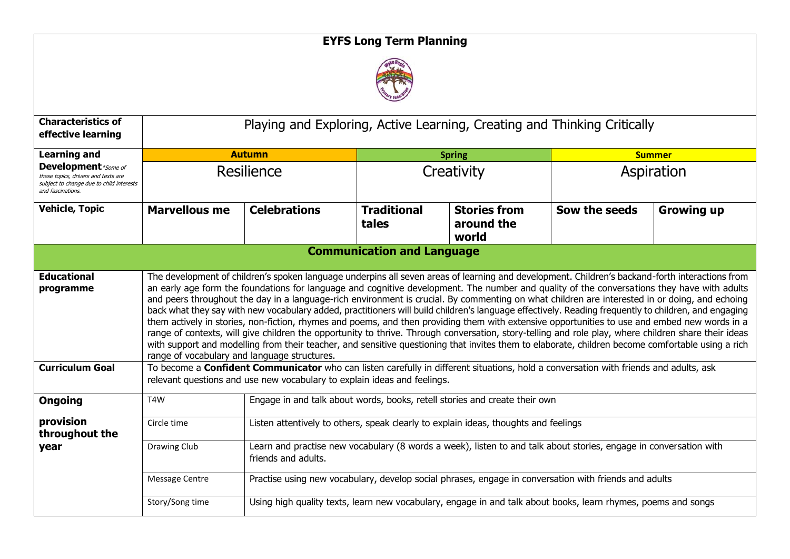## **EYFS Long Term Planning**



| <b>Characteristics of</b><br>effective learning                                                                                                            | Playing and Exploring, Active Learning, Creating and Thinking Critically                                                                                                                                                                                                                                                                                                                                                                                                                                                                                                                                                                                                                                                                                                                                                                                                                                                                                                                                                                                                                                                                                                                                                                                        |                                                                                                                                          |                                   |                                            |               |                   |  |
|------------------------------------------------------------------------------------------------------------------------------------------------------------|-----------------------------------------------------------------------------------------------------------------------------------------------------------------------------------------------------------------------------------------------------------------------------------------------------------------------------------------------------------------------------------------------------------------------------------------------------------------------------------------------------------------------------------------------------------------------------------------------------------------------------------------------------------------------------------------------------------------------------------------------------------------------------------------------------------------------------------------------------------------------------------------------------------------------------------------------------------------------------------------------------------------------------------------------------------------------------------------------------------------------------------------------------------------------------------------------------------------------------------------------------------------|------------------------------------------------------------------------------------------------------------------------------------------|-----------------------------------|--------------------------------------------|---------------|-------------------|--|
| <b>Learning and</b><br><b>Development</b> *Some of<br>these topics, drivers and texts are<br>subject to change due to child interests<br>and fascinations. |                                                                                                                                                                                                                                                                                                                                                                                                                                                                                                                                                                                                                                                                                                                                                                                                                                                                                                                                                                                                                                                                                                                                                                                                                                                                 | <b>Autumn</b>                                                                                                                            |                                   | <b>Spring</b>                              |               | <b>Summer</b>     |  |
|                                                                                                                                                            | Resilience                                                                                                                                                                                                                                                                                                                                                                                                                                                                                                                                                                                                                                                                                                                                                                                                                                                                                                                                                                                                                                                                                                                                                                                                                                                      |                                                                                                                                          | Creativity                        |                                            | Aspiration    |                   |  |
| <b>Vehicle, Topic</b>                                                                                                                                      | <b>Marvellous me</b>                                                                                                                                                                                                                                                                                                                                                                                                                                                                                                                                                                                                                                                                                                                                                                                                                                                                                                                                                                                                                                                                                                                                                                                                                                            | <b>Celebrations</b>                                                                                                                      | <b>Traditional</b><br>tales       | <b>Stories from</b><br>around the<br>world | Sow the seeds | <b>Growing up</b> |  |
|                                                                                                                                                            |                                                                                                                                                                                                                                                                                                                                                                                                                                                                                                                                                                                                                                                                                                                                                                                                                                                                                                                                                                                                                                                                                                                                                                                                                                                                 |                                                                                                                                          | <b>Communication and Language</b> |                                            |               |                   |  |
| <b>Educational</b><br>programme<br><b>Curriculum Goal</b>                                                                                                  | The development of children's spoken language underpins all seven areas of learning and development. Children's backand-forth interactions from<br>an early age form the foundations for language and cognitive development. The number and quality of the conversations they have with adults<br>and peers throughout the day in a language-rich environment is crucial. By commenting on what children are interested in or doing, and echoing<br>back what they say with new vocabulary added, practitioners will build children's language effectively. Reading frequently to children, and engaging<br>them actively in stories, non-fiction, rhymes and poems, and then providing them with extensive opportunities to use and embed new words in a<br>range of contexts, will give children the opportunity to thrive. Through conversation, story-telling and role play, where children share their ideas<br>with support and modelling from their teacher, and sensitive questioning that invites them to elaborate, children become comfortable using a rich<br>range of vocabulary and language structures.<br>To become a Confident Communicator who can listen carefully in different situations, hold a conversation with friends and adults, ask |                                                                                                                                          |                                   |                                            |               |                   |  |
| <b>Ongoing</b>                                                                                                                                             | relevant questions and use new vocabulary to explain ideas and feelings.<br>Engage in and talk about words, books, retell stories and create their own<br>T4W                                                                                                                                                                                                                                                                                                                                                                                                                                                                                                                                                                                                                                                                                                                                                                                                                                                                                                                                                                                                                                                                                                   |                                                                                                                                          |                                   |                                            |               |                   |  |
| provision<br>throughout the                                                                                                                                | Circle time                                                                                                                                                                                                                                                                                                                                                                                                                                                                                                                                                                                                                                                                                                                                                                                                                                                                                                                                                                                                                                                                                                                                                                                                                                                     | Listen attentively to others, speak clearly to explain ideas, thoughts and feelings                                                      |                                   |                                            |               |                   |  |
| year                                                                                                                                                       | Drawing Club                                                                                                                                                                                                                                                                                                                                                                                                                                                                                                                                                                                                                                                                                                                                                                                                                                                                                                                                                                                                                                                                                                                                                                                                                                                    | Learn and practise new vocabulary (8 words a week), listen to and talk about stories, engage in conversation with<br>friends and adults. |                                   |                                            |               |                   |  |
|                                                                                                                                                            | Message Centre                                                                                                                                                                                                                                                                                                                                                                                                                                                                                                                                                                                                                                                                                                                                                                                                                                                                                                                                                                                                                                                                                                                                                                                                                                                  | Practise using new vocabulary, develop social phrases, engage in conversation with friends and adults                                    |                                   |                                            |               |                   |  |
|                                                                                                                                                            | Story/Song time                                                                                                                                                                                                                                                                                                                                                                                                                                                                                                                                                                                                                                                                                                                                                                                                                                                                                                                                                                                                                                                                                                                                                                                                                                                 | Using high quality texts, learn new vocabulary, engage in and talk about books, learn rhymes, poems and songs                            |                                   |                                            |               |                   |  |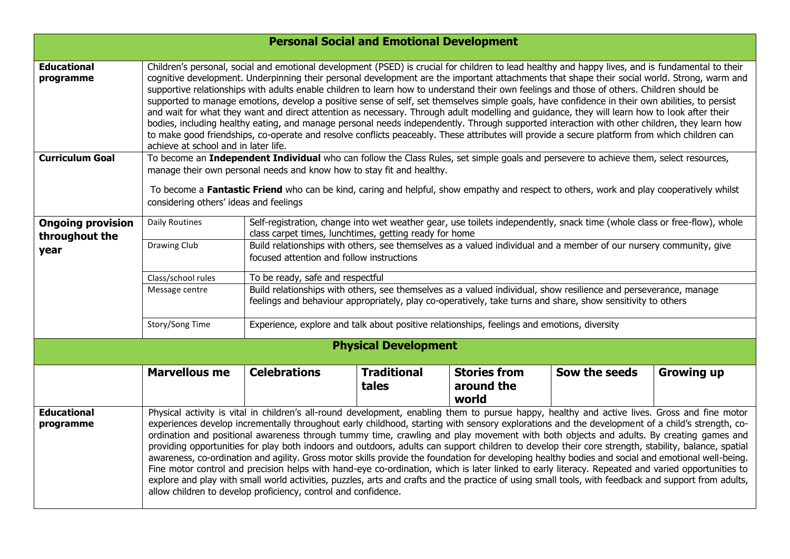| <b>Personal Social and Emotional Development</b> |                                                                                                                                                                                                                                                                                                                                                                                                                                                                                                                                                                                                                                                                                                                                                                                                                                                                                                                                                                                                                                                                                                                                        |                                                                                                                                                                                                                                 |                             |                                            |               |                   |  |
|--------------------------------------------------|----------------------------------------------------------------------------------------------------------------------------------------------------------------------------------------------------------------------------------------------------------------------------------------------------------------------------------------------------------------------------------------------------------------------------------------------------------------------------------------------------------------------------------------------------------------------------------------------------------------------------------------------------------------------------------------------------------------------------------------------------------------------------------------------------------------------------------------------------------------------------------------------------------------------------------------------------------------------------------------------------------------------------------------------------------------------------------------------------------------------------------------|---------------------------------------------------------------------------------------------------------------------------------------------------------------------------------------------------------------------------------|-----------------------------|--------------------------------------------|---------------|-------------------|--|
| <b>Educational</b><br>programme                  | Children's personal, social and emotional development (PSED) is crucial for children to lead healthy and happy lives, and is fundamental to their<br>cognitive development. Underpinning their personal development are the important attachments that shape their social world. Strong, warm and<br>supportive relationships with adults enable children to learn how to understand their own feelings and those of others. Children should be<br>supported to manage emotions, develop a positive sense of self, set themselves simple goals, have confidence in their own abilities, to persist<br>and wait for what they want and direct attention as necessary. Through adult modelling and guidance, they will learn how to look after their<br>bodies, including healthy eating, and manage personal needs independently. Through supported interaction with other children, they learn how<br>to make good friendships, co-operate and resolve conflicts peaceably. These attributes will provide a secure platform from which children can<br>achieve at school and in later life.                                            |                                                                                                                                                                                                                                 |                             |                                            |               |                   |  |
| <b>Curriculum Goal</b>                           | To become an Independent Individual who can follow the Class Rules, set simple goals and persevere to achieve them, select resources,<br>manage their own personal needs and know how to stay fit and healthy.<br>To become a Fantastic Friend who can be kind, caring and helpful, show empathy and respect to others, work and play cooperatively whilst<br>considering others' ideas and feelings                                                                                                                                                                                                                                                                                                                                                                                                                                                                                                                                                                                                                                                                                                                                   |                                                                                                                                                                                                                                 |                             |                                            |               |                   |  |
| <b>Ongoing provision</b><br>throughout the       | <b>Daily Routines</b>                                                                                                                                                                                                                                                                                                                                                                                                                                                                                                                                                                                                                                                                                                                                                                                                                                                                                                                                                                                                                                                                                                                  | Self-registration, change into wet weather gear, use toilets independently, snack time (whole class or free-flow), whole<br>class carpet times, lunchtimes, getting ready for home                                              |                             |                                            |               |                   |  |
| year                                             | Drawing Club                                                                                                                                                                                                                                                                                                                                                                                                                                                                                                                                                                                                                                                                                                                                                                                                                                                                                                                                                                                                                                                                                                                           | Build relationships with others, see themselves as a valued individual and a member of our nursery community, give<br>focused attention and follow instructions                                                                 |                             |                                            |               |                   |  |
|                                                  | Class/school rules                                                                                                                                                                                                                                                                                                                                                                                                                                                                                                                                                                                                                                                                                                                                                                                                                                                                                                                                                                                                                                                                                                                     | To be ready, safe and respectful                                                                                                                                                                                                |                             |                                            |               |                   |  |
|                                                  | Message centre                                                                                                                                                                                                                                                                                                                                                                                                                                                                                                                                                                                                                                                                                                                                                                                                                                                                                                                                                                                                                                                                                                                         | Build relationships with others, see themselves as a valued individual, show resilience and perseverance, manage<br>feelings and behaviour appropriately, play co-operatively, take turns and share, show sensitivity to others |                             |                                            |               |                   |  |
|                                                  | Story/Song Time                                                                                                                                                                                                                                                                                                                                                                                                                                                                                                                                                                                                                                                                                                                                                                                                                                                                                                                                                                                                                                                                                                                        | Experience, explore and talk about positive relationships, feelings and emotions, diversity                                                                                                                                     |                             |                                            |               |                   |  |
|                                                  |                                                                                                                                                                                                                                                                                                                                                                                                                                                                                                                                                                                                                                                                                                                                                                                                                                                                                                                                                                                                                                                                                                                                        |                                                                                                                                                                                                                                 | <b>Physical Development</b> |                                            |               |                   |  |
|                                                  | <b>Marvellous me</b>                                                                                                                                                                                                                                                                                                                                                                                                                                                                                                                                                                                                                                                                                                                                                                                                                                                                                                                                                                                                                                                                                                                   | <b>Celebrations</b>                                                                                                                                                                                                             | <b>Traditional</b><br>tales | <b>Stories from</b><br>around the<br>world | Sow the seeds | <b>Growing up</b> |  |
| <b>Educational</b><br>programme                  | Physical activity is vital in children's all-round development, enabling them to pursue happy, healthy and active lives. Gross and fine motor<br>experiences develop incrementally throughout early childhood, starting with sensory explorations and the development of a child's strength, co-<br>ordination and positional awareness through tummy time, crawling and play movement with both objects and adults. By creating games and<br>providing opportunities for play both indoors and outdoors, adults can support children to develop their core strength, stability, balance, spatial<br>awareness, co-ordination and agility. Gross motor skills provide the foundation for developing healthy bodies and social and emotional well-being.<br>Fine motor control and precision helps with hand-eye co-ordination, which is later linked to early literacy. Repeated and varied opportunities to<br>explore and play with small world activities, puzzles, arts and crafts and the practice of using small tools, with feedback and support from adults,<br>allow children to develop proficiency, control and confidence. |                                                                                                                                                                                                                                 |                             |                                            |               |                   |  |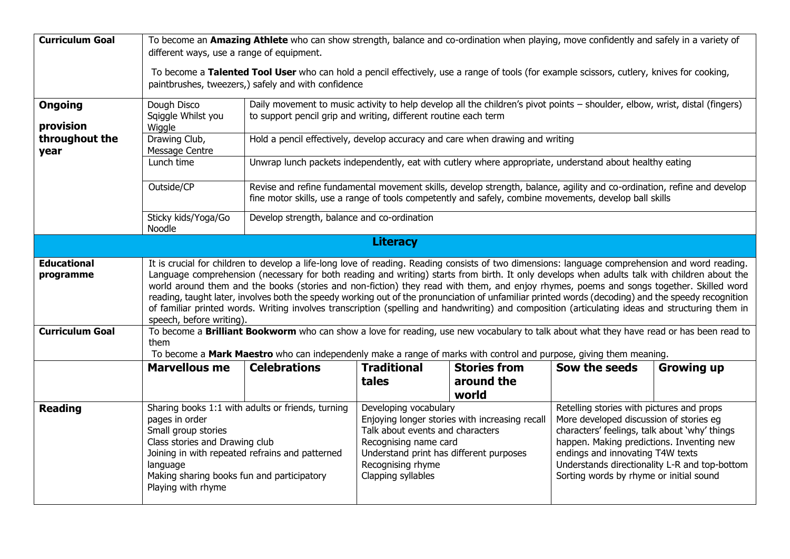| <b>Curriculum Goal</b>          | To become an Amazing Athlete who can show strength, balance and co-ordination when playing, move confidently and safely in a variety of<br>different ways, use a range of equipment.                                                                                                                                                                                                                                                                                                                                                                                                                                                                                                                                                                                             |                                                                                                                                                                                                   |                                                                                                                               |                                                                                                                                                                                                                                                                                                                                                                                                                 |               |                   |  |
|---------------------------------|----------------------------------------------------------------------------------------------------------------------------------------------------------------------------------------------------------------------------------------------------------------------------------------------------------------------------------------------------------------------------------------------------------------------------------------------------------------------------------------------------------------------------------------------------------------------------------------------------------------------------------------------------------------------------------------------------------------------------------------------------------------------------------|---------------------------------------------------------------------------------------------------------------------------------------------------------------------------------------------------|-------------------------------------------------------------------------------------------------------------------------------|-----------------------------------------------------------------------------------------------------------------------------------------------------------------------------------------------------------------------------------------------------------------------------------------------------------------------------------------------------------------------------------------------------------------|---------------|-------------------|--|
|                                 |                                                                                                                                                                                                                                                                                                                                                                                                                                                                                                                                                                                                                                                                                                                                                                                  | To become a Talented Tool User who can hold a pencil effectively, use a range of tools (for example scissors, cutlery, knives for cooking,<br>paintbrushes, tweezers,) safely and with confidence |                                                                                                                               |                                                                                                                                                                                                                                                                                                                                                                                                                 |               |                   |  |
| <b>Ongoing</b><br>provision     | Dough Disco<br>Sqiggle Whilst you<br>Wiggle                                                                                                                                                                                                                                                                                                                                                                                                                                                                                                                                                                                                                                                                                                                                      | Daily movement to music activity to help develop all the children's pivot points - shoulder, elbow, wrist, distal (fingers)<br>to support pencil grip and writing, different routine each term    |                                                                                                                               |                                                                                                                                                                                                                                                                                                                                                                                                                 |               |                   |  |
| throughout the<br>year          | Drawing Club,<br>Message Centre                                                                                                                                                                                                                                                                                                                                                                                                                                                                                                                                                                                                                                                                                                                                                  | Hold a pencil effectively, develop accuracy and care when drawing and writing                                                                                                                     |                                                                                                                               |                                                                                                                                                                                                                                                                                                                                                                                                                 |               |                   |  |
|                                 | Lunch time                                                                                                                                                                                                                                                                                                                                                                                                                                                                                                                                                                                                                                                                                                                                                                       | Unwrap lunch packets independently, eat with cutlery where appropriate, understand about healthy eating                                                                                           |                                                                                                                               |                                                                                                                                                                                                                                                                                                                                                                                                                 |               |                   |  |
|                                 | Outside/CP<br>Revise and refine fundamental movement skills, develop strength, balance, agility and co-ordination, refine and develop<br>fine motor skills, use a range of tools competently and safely, combine movements, develop ball skills                                                                                                                                                                                                                                                                                                                                                                                                                                                                                                                                  |                                                                                                                                                                                                   |                                                                                                                               |                                                                                                                                                                                                                                                                                                                                                                                                                 |               |                   |  |
|                                 | Sticky kids/Yoga/Go<br>Noodle                                                                                                                                                                                                                                                                                                                                                                                                                                                                                                                                                                                                                                                                                                                                                    | Develop strength, balance and co-ordination                                                                                                                                                       |                                                                                                                               |                                                                                                                                                                                                                                                                                                                                                                                                                 |               |                   |  |
| <b>Literacy</b>                 |                                                                                                                                                                                                                                                                                                                                                                                                                                                                                                                                                                                                                                                                                                                                                                                  |                                                                                                                                                                                                   |                                                                                                                               |                                                                                                                                                                                                                                                                                                                                                                                                                 |               |                   |  |
| <b>Educational</b><br>programme | It is crucial for children to develop a life-long love of reading. Reading consists of two dimensions: language comprehension and word reading.<br>Language comprehension (necessary for both reading and writing) starts from birth. It only develops when adults talk with children about the<br>world around them and the books (stories and non-fiction) they read with them, and enjoy rhymes, poems and songs together. Skilled word<br>reading, taught later, involves both the speedy working out of the pronunciation of unfamiliar printed words (decoding) and the speedy recognition<br>of familiar printed words. Writing involves transcription (spelling and handwriting) and composition (articulating ideas and structuring them in<br>speech, before writing). |                                                                                                                                                                                                   |                                                                                                                               |                                                                                                                                                                                                                                                                                                                                                                                                                 |               |                   |  |
| <b>Curriculum Goal</b>          | To become a Brilliant Bookworm who can show a love for reading, use new vocabulary to talk about what they have read or has been read to<br>them<br>To become a Mark Maestro who can independenly make a range of marks with control and purpose, giving them meaning.                                                                                                                                                                                                                                                                                                                                                                                                                                                                                                           |                                                                                                                                                                                                   |                                                                                                                               |                                                                                                                                                                                                                                                                                                                                                                                                                 |               |                   |  |
|                                 | <b>Marvellous me</b>                                                                                                                                                                                                                                                                                                                                                                                                                                                                                                                                                                                                                                                                                                                                                             | <b>Celebrations</b>                                                                                                                                                                               | <b>Traditional</b><br>tales                                                                                                   | <b>Stories from</b><br>around the<br>world                                                                                                                                                                                                                                                                                                                                                                      | Sow the seeds | <b>Growing up</b> |  |
| <b>Reading</b>                  | Sharing books 1:1 with adults or friends, turning<br>pages in order<br>Small group stories<br>Class stories and Drawing club<br>Joining in with repeated refrains and patterned<br>language<br>Making sharing books fun and participatory<br>Playing with rhyme                                                                                                                                                                                                                                                                                                                                                                                                                                                                                                                  |                                                                                                                                                                                                   | Developing vocabulary<br>Talk about events and characters<br>Recognising name card<br>Recognising rhyme<br>Clapping syllables | Retelling stories with pictures and props<br>Enjoying longer stories with increasing recall<br>More developed discussion of stories eg<br>characters' feelings, talk about 'why' things<br>happen. Making predictions. Inventing new<br>endings and innovating T4W texts<br>Understand print has different purposes<br>Understands directionality L-R and top-bottom<br>Sorting words by rhyme or initial sound |               |                   |  |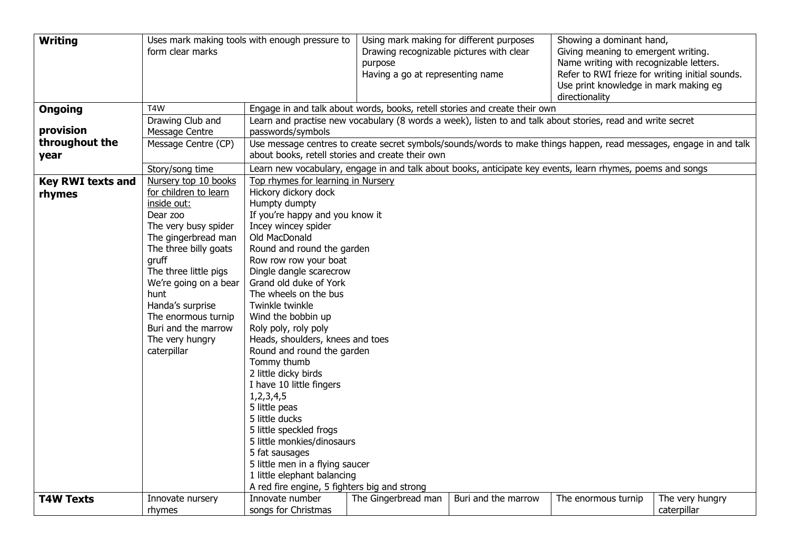| <b>Writing</b>              | form clear marks                                                                                                                                                                                                                                                                                | Uses mark making tools with enough pressure to                                                                                                                                                                                                                                                                                                                                                          |                                                                            | Using mark making for different purposes<br>Drawing recognizable pictures with clear<br>purpose<br>Having a go at representing name |                                                                                                            | Showing a dominant hand,<br>Giving meaning to emergent writing.<br>Name writing with recognizable letters.<br>Refer to RWI frieze for writing initial sounds.<br>Use print knowledge in mark making eg |  |  |  |
|-----------------------------|-------------------------------------------------------------------------------------------------------------------------------------------------------------------------------------------------------------------------------------------------------------------------------------------------|---------------------------------------------------------------------------------------------------------------------------------------------------------------------------------------------------------------------------------------------------------------------------------------------------------------------------------------------------------------------------------------------------------|----------------------------------------------------------------------------|-------------------------------------------------------------------------------------------------------------------------------------|------------------------------------------------------------------------------------------------------------|--------------------------------------------------------------------------------------------------------------------------------------------------------------------------------------------------------|--|--|--|
| <b>Ongoing</b>              | T4W                                                                                                                                                                                                                                                                                             |                                                                                                                                                                                                                                                                                                                                                                                                         | Engage in and talk about words, books, retell stories and create their own |                                                                                                                                     |                                                                                                            |                                                                                                                                                                                                        |  |  |  |
| provision<br>throughout the | Drawing Club and<br>Message Centre<br>Message Centre (CP)                                                                                                                                                                                                                                       | Learn and practise new vocabulary (8 words a week), listen to and talk about stories, read and write secret<br>passwords/symbols<br>Use message centres to create secret symbols/sounds/words to make things happen, read messages, engage in and talk                                                                                                                                                  |                                                                            |                                                                                                                                     |                                                                                                            |                                                                                                                                                                                                        |  |  |  |
| year                        |                                                                                                                                                                                                                                                                                                 | about books, retell stories and create their own                                                                                                                                                                                                                                                                                                                                                        |                                                                            |                                                                                                                                     |                                                                                                            |                                                                                                                                                                                                        |  |  |  |
| <b>Key RWI texts and</b>    | Story/song time<br>Nursery top 10 books                                                                                                                                                                                                                                                         | Top rhymes for learning in Nursery                                                                                                                                                                                                                                                                                                                                                                      |                                                                            |                                                                                                                                     | Learn new vocabulary, engage in and talk about books, anticipate key events, learn rhymes, poems and songs |                                                                                                                                                                                                        |  |  |  |
| rhymes                      | for children to learn<br>inside out:<br>Dear zoo<br>The very busy spider<br>The gingerbread man<br>The three billy goats<br>gruff<br>The three little pigs<br>We're going on a bear<br>hunt<br>Handa's surprise<br>The enormous turnip<br>Buri and the marrow<br>The very hungry<br>caterpillar | Hickory dickory dock<br>Humpty dumpty<br>If you're happy and you know it<br>Incey wincey spider<br>Old MacDonald<br>Round and round the garden<br>Row row row your boat<br>Dingle dangle scarecrow<br>Grand old duke of York<br>The wheels on the bus<br>Twinkle twinkle<br>Wind the bobbin up<br>Roly poly, roly poly<br>Heads, shoulders, knees and toes<br>Round and round the garden<br>Tommy thumb |                                                                            |                                                                                                                                     |                                                                                                            |                                                                                                                                                                                                        |  |  |  |
|                             |                                                                                                                                                                                                                                                                                                 | 2 little dicky birds<br>I have 10 little fingers<br>1,2,3,4,5<br>5 little peas<br>5 little ducks<br>5 little speckled frogs<br>5 little monkies/dinosaurs<br>5 fat sausages<br>5 little men in a flying saucer<br>1 little elephant balancing<br>A red fire engine, 5 fighters big and strong                                                                                                           |                                                                            |                                                                                                                                     |                                                                                                            |                                                                                                                                                                                                        |  |  |  |
| <b>T4W Texts</b>            | Innovate nursery<br>rhymes                                                                                                                                                                                                                                                                      | Innovate number<br>songs for Christmas                                                                                                                                                                                                                                                                                                                                                                  | The Gingerbread man                                                        | Buri and the marrow                                                                                                                 | The enormous turnip                                                                                        | The very hungry<br>caterpillar                                                                                                                                                                         |  |  |  |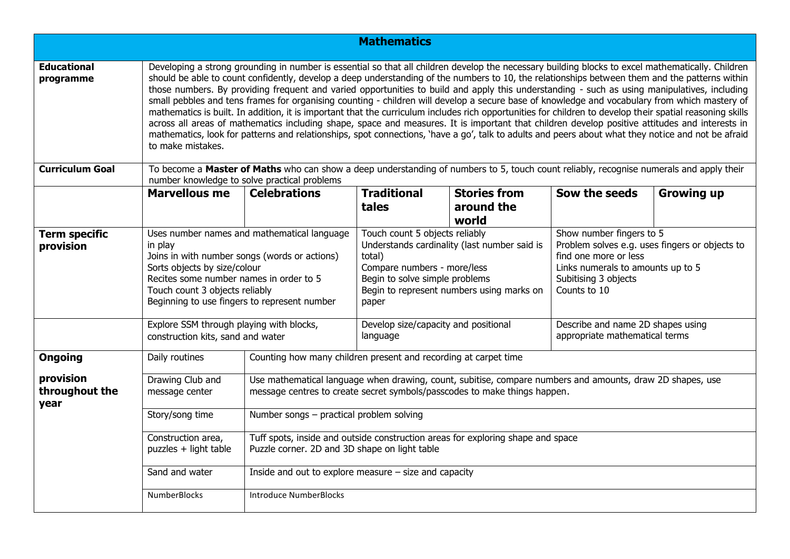|                                     |                                                                                                                                                                                                                                                                                                                                                                                                                                                                                                                                                                                                                                                                                                                                                                                                                                                                                                                                           |                                                                                                                                                                                         | <b>Mathematics</b>                                                                                                                                                                                              |                                                                     |                                                                                                                                                                                  |                   |  |
|-------------------------------------|-------------------------------------------------------------------------------------------------------------------------------------------------------------------------------------------------------------------------------------------------------------------------------------------------------------------------------------------------------------------------------------------------------------------------------------------------------------------------------------------------------------------------------------------------------------------------------------------------------------------------------------------------------------------------------------------------------------------------------------------------------------------------------------------------------------------------------------------------------------------------------------------------------------------------------------------|-----------------------------------------------------------------------------------------------------------------------------------------------------------------------------------------|-----------------------------------------------------------------------------------------------------------------------------------------------------------------------------------------------------------------|---------------------------------------------------------------------|----------------------------------------------------------------------------------------------------------------------------------------------------------------------------------|-------------------|--|
| <b>Educational</b>                  | Developing a strong grounding in number is essential so that all children develop the necessary building blocks to excel mathematically. Children                                                                                                                                                                                                                                                                                                                                                                                                                                                                                                                                                                                                                                                                                                                                                                                         |                                                                                                                                                                                         |                                                                                                                                                                                                                 |                                                                     |                                                                                                                                                                                  |                   |  |
| programme                           | should be able to count confidently, develop a deep understanding of the numbers to 10, the relationships between them and the patterns within<br>those numbers. By providing frequent and varied opportunities to build and apply this understanding - such as using manipulatives, including<br>small pebbles and tens frames for organising counting - children will develop a secure base of knowledge and vocabulary from which mastery of<br>mathematics is built. In addition, it is important that the curriculum includes rich opportunities for children to develop their spatial reasoning skills<br>across all areas of mathematics including shape, space and measures. It is important that children develop positive attitudes and interests in<br>mathematics, look for patterns and relationships, spot connections, 'have a go', talk to adults and peers about what they notice and not be afraid<br>to make mistakes. |                                                                                                                                                                                         |                                                                                                                                                                                                                 |                                                                     |                                                                                                                                                                                  |                   |  |
| <b>Curriculum Goal</b>              |                                                                                                                                                                                                                                                                                                                                                                                                                                                                                                                                                                                                                                                                                                                                                                                                                                                                                                                                           | To become a Master of Maths who can show a deep understanding of numbers to 5, touch count reliably, recognise numerals and apply their<br>number knowledge to solve practical problems |                                                                                                                                                                                                                 |                                                                     |                                                                                                                                                                                  |                   |  |
|                                     | <b>Marvellous me</b>                                                                                                                                                                                                                                                                                                                                                                                                                                                                                                                                                                                                                                                                                                                                                                                                                                                                                                                      | <b>Celebrations</b>                                                                                                                                                                     | <b>Traditional</b><br>tales                                                                                                                                                                                     | <b>Stories from</b><br>around the<br>world                          | Sow the seeds                                                                                                                                                                    | <b>Growing up</b> |  |
| <b>Term specific</b><br>provision   | Uses number names and mathematical language<br>in play<br>Joins in with number songs (words or actions)<br>Sorts objects by size/colour<br>Recites some number names in order to 5<br>Touch count 3 objects reliably<br>Beginning to use fingers to represent number                                                                                                                                                                                                                                                                                                                                                                                                                                                                                                                                                                                                                                                                      |                                                                                                                                                                                         | Touch count 5 objects reliably<br>Understands cardinality (last number said is<br>total)<br>Compare numbers - more/less<br>Begin to solve simple problems<br>Begin to represent numbers using marks on<br>paper |                                                                     | Show number fingers to 5<br>Problem solves e.g. uses fingers or objects to<br>find one more or less<br>Links numerals to amounts up to 5<br>Subitising 3 objects<br>Counts to 10 |                   |  |
|                                     | Explore SSM through playing with blocks,<br>construction kits, sand and water                                                                                                                                                                                                                                                                                                                                                                                                                                                                                                                                                                                                                                                                                                                                                                                                                                                             | Develop size/capacity and positional<br>language                                                                                                                                        |                                                                                                                                                                                                                 | Describe and name 2D shapes using<br>appropriate mathematical terms |                                                                                                                                                                                  |                   |  |
| <b>Ongoing</b>                      | Daily routines                                                                                                                                                                                                                                                                                                                                                                                                                                                                                                                                                                                                                                                                                                                                                                                                                                                                                                                            | Counting how many children present and recording at carpet time                                                                                                                         |                                                                                                                                                                                                                 |                                                                     |                                                                                                                                                                                  |                   |  |
| provision<br>throughout the<br>year | Drawing Club and<br>message center                                                                                                                                                                                                                                                                                                                                                                                                                                                                                                                                                                                                                                                                                                                                                                                                                                                                                                        | Use mathematical language when drawing, count, subitise, compare numbers and amounts, draw 2D shapes, use<br>message centres to create secret symbols/passcodes to make things happen.  |                                                                                                                                                                                                                 |                                                                     |                                                                                                                                                                                  |                   |  |
|                                     | Story/song time                                                                                                                                                                                                                                                                                                                                                                                                                                                                                                                                                                                                                                                                                                                                                                                                                                                                                                                           | Number songs - practical problem solving                                                                                                                                                |                                                                                                                                                                                                                 |                                                                     |                                                                                                                                                                                  |                   |  |
|                                     | Tuff spots, inside and outside construction areas for exploring shape and space<br>Construction area,<br>puzzles + light table<br>Puzzle corner. 2D and 3D shape on light table                                                                                                                                                                                                                                                                                                                                                                                                                                                                                                                                                                                                                                                                                                                                                           |                                                                                                                                                                                         |                                                                                                                                                                                                                 |                                                                     |                                                                                                                                                                                  |                   |  |
|                                     | Sand and water                                                                                                                                                                                                                                                                                                                                                                                                                                                                                                                                                                                                                                                                                                                                                                                                                                                                                                                            | Inside and out to explore measure $-$ size and capacity                                                                                                                                 |                                                                                                                                                                                                                 |                                                                     |                                                                                                                                                                                  |                   |  |
|                                     | NumberBlocks                                                                                                                                                                                                                                                                                                                                                                                                                                                                                                                                                                                                                                                                                                                                                                                                                                                                                                                              | <b>Introduce NumberBlocks</b>                                                                                                                                                           |                                                                                                                                                                                                                 |                                                                     |                                                                                                                                                                                  |                   |  |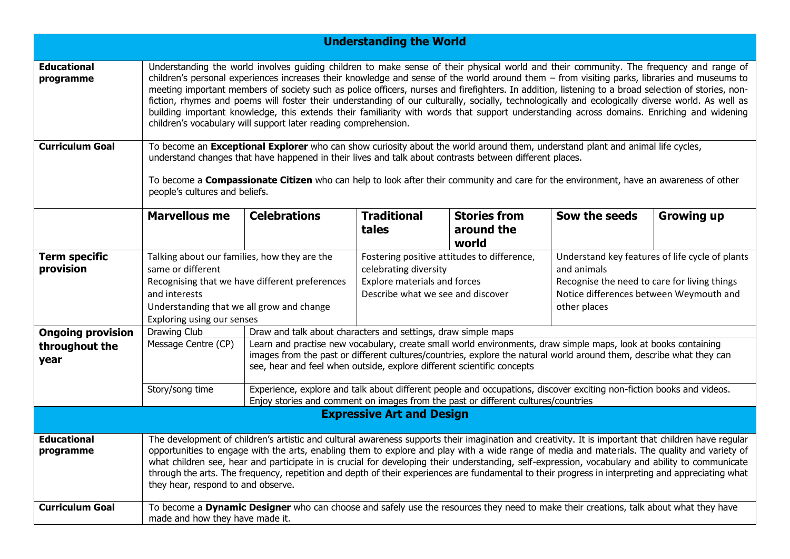|                                   |                                                                                                                                                                                                                                                                                                                                                                                                                                                                                                                                                                                                                                                                                                                                                                                                                       |                                                                                                                                                                                                                                                                                                                 | <b>Understanding the World</b>                                                                                                                   |                                            |                                                                                                                                                                           |                   |  |
|-----------------------------------|-----------------------------------------------------------------------------------------------------------------------------------------------------------------------------------------------------------------------------------------------------------------------------------------------------------------------------------------------------------------------------------------------------------------------------------------------------------------------------------------------------------------------------------------------------------------------------------------------------------------------------------------------------------------------------------------------------------------------------------------------------------------------------------------------------------------------|-----------------------------------------------------------------------------------------------------------------------------------------------------------------------------------------------------------------------------------------------------------------------------------------------------------------|--------------------------------------------------------------------------------------------------------------------------------------------------|--------------------------------------------|---------------------------------------------------------------------------------------------------------------------------------------------------------------------------|-------------------|--|
| <b>Educational</b><br>programme   | Understanding the world involves guiding children to make sense of their physical world and their community. The frequency and range of<br>children's personal experiences increases their knowledge and sense of the world around them $-$ from visiting parks, libraries and museums to<br>meeting important members of society such as police officers, nurses and firefighters. In addition, listening to a broad selection of stories, non-<br>fiction, rhymes and poems will foster their understanding of our culturally, socially, technologically and ecologically diverse world. As well as<br>building important knowledge, this extends their familiarity with words that support understanding across domains. Enriching and widening<br>children's vocabulary will support later reading comprehension. |                                                                                                                                                                                                                                                                                                                 |                                                                                                                                                  |                                            |                                                                                                                                                                           |                   |  |
| <b>Curriculum Goal</b>            | To become an Exceptional Explorer who can show curiosity about the world around them, understand plant and animal life cycles,<br>understand changes that have happened in their lives and talk about contrasts between different places.<br>To become a <b>Compassionate Citizen</b> who can help to look after their community and care for the environment, have an awareness of other<br>people's cultures and beliefs.                                                                                                                                                                                                                                                                                                                                                                                           |                                                                                                                                                                                                                                                                                                                 |                                                                                                                                                  |                                            |                                                                                                                                                                           |                   |  |
|                                   | <b>Marvellous me</b>                                                                                                                                                                                                                                                                                                                                                                                                                                                                                                                                                                                                                                                                                                                                                                                                  | <b>Celebrations</b>                                                                                                                                                                                                                                                                                             | <b>Traditional</b><br>tales                                                                                                                      | <b>Stories from</b><br>around the<br>world | Sow the seeds                                                                                                                                                             | <b>Growing up</b> |  |
| <b>Term specific</b><br>provision | Talking about our families, how they are the<br>same or different<br>Recognising that we have different preferences<br>and interests<br>Understanding that we all grow and change<br>Exploring using our senses                                                                                                                                                                                                                                                                                                                                                                                                                                                                                                                                                                                                       |                                                                                                                                                                                                                                                                                                                 | Fostering positive attitudes to difference,<br>celebrating diversity<br><b>Explore materials and forces</b><br>Describe what we see and discover |                                            | Understand key features of life cycle of plants<br>and animals<br>Recognise the need to care for living things<br>Notice differences between Weymouth and<br>other places |                   |  |
| <b>Ongoing provision</b>          | Drawing Club                                                                                                                                                                                                                                                                                                                                                                                                                                                                                                                                                                                                                                                                                                                                                                                                          |                                                                                                                                                                                                                                                                                                                 | Draw and talk about characters and settings, draw simple maps                                                                                    |                                            |                                                                                                                                                                           |                   |  |
| throughout the<br>year            | Message Centre (CP)                                                                                                                                                                                                                                                                                                                                                                                                                                                                                                                                                                                                                                                                                                                                                                                                   | Learn and practise new vocabulary, create small world environments, draw simple maps, look at books containing<br>images from the past or different cultures/countries, explore the natural world around them, describe what they can<br>see, hear and feel when outside, explore different scientific concepts |                                                                                                                                                  |                                            |                                                                                                                                                                           |                   |  |
|                                   | Story/song time                                                                                                                                                                                                                                                                                                                                                                                                                                                                                                                                                                                                                                                                                                                                                                                                       | Experience, explore and talk about different people and occupations, discover exciting non-fiction books and videos.<br>Enjoy stories and comment on images from the past or different cultures/countries                                                                                                       |                                                                                                                                                  |                                            |                                                                                                                                                                           |                   |  |
|                                   |                                                                                                                                                                                                                                                                                                                                                                                                                                                                                                                                                                                                                                                                                                                                                                                                                       |                                                                                                                                                                                                                                                                                                                 | <b>Expressive Art and Design</b>                                                                                                                 |                                            |                                                                                                                                                                           |                   |  |
| <b>Educational</b><br>programme   | The development of children's artistic and cultural awareness supports their imagination and creativity. It is important that children have regular<br>opportunities to engage with the arts, enabling them to explore and play with a wide range of media and materials. The quality and variety of<br>what children see, hear and participate in is crucial for developing their understanding, self-expression, vocabulary and ability to communicate<br>through the arts. The frequency, repetition and depth of their experiences are fundamental to their progress in interpreting and appreciating what<br>they hear, respond to and observe.                                                                                                                                                                  |                                                                                                                                                                                                                                                                                                                 |                                                                                                                                                  |                                            |                                                                                                                                                                           |                   |  |
| <b>Curriculum Goal</b>            | To become a Dynamic Designer who can choose and safely use the resources they need to make their creations, talk about what they have<br>made and how they have made it.                                                                                                                                                                                                                                                                                                                                                                                                                                                                                                                                                                                                                                              |                                                                                                                                                                                                                                                                                                                 |                                                                                                                                                  |                                            |                                                                                                                                                                           |                   |  |